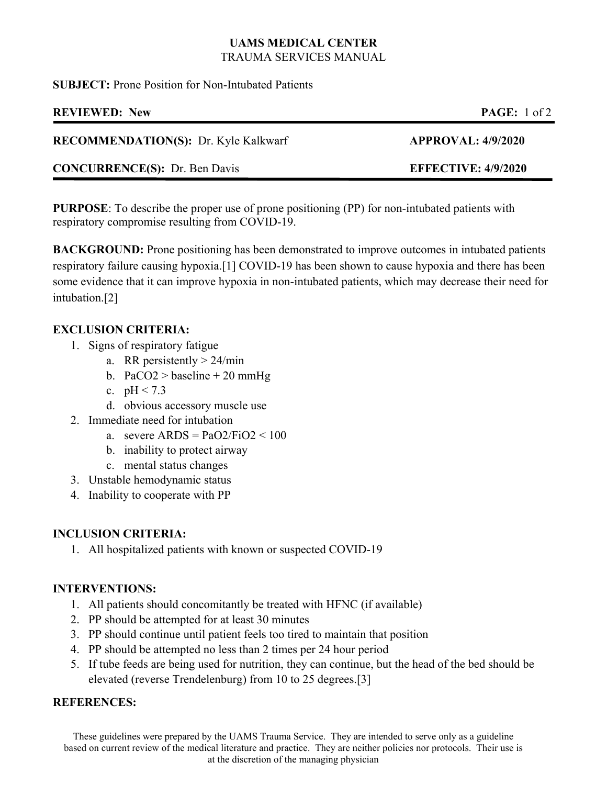## **UAMS MEDICAL CENTER**  TRAUMA SERVICES MANUAL

**SUBJECT:** Prone Position for Non-Intubated Patients

| <b>REVIEWED: New</b>                        | <b>PAGE:</b> $1 \text{ of } 2$ |
|---------------------------------------------|--------------------------------|
| <b>RECOMMENDATION(S): Dr. Kyle Kalkwarf</b> | <b>APPROVAL: 4/9/2020</b>      |
| <b>CONCURRENCE(S):</b> Dr. Ben Davis        | <b>EFFECTIVE: 4/9/2020</b>     |
|                                             |                                |

**PURPOSE**: To describe the proper use of prone positioning (PP) for non-intubated patients with respiratory compromise resulting from COVID-19.

**BACKGROUND:** Prone positioning has been demonstrated to improve outcomes in intubated patients respiratory failure causing hypoxia.[1] COVID-19 has been shown to cause hypoxia and there has been some evidence that it can improve hypoxia in non-intubated patients, which may decrease their need for intubation.[2]

# **EXCLUSION CRITERIA:**

- 1. Signs of respiratory fatigue
	- a. RR persistently  $> 24$ /min
	- b. PaCO2 > baseline + 20 mmHg
	- c.  $pH < 7.3$
	- d. obvious accessory muscle use
- 2. Immediate need for intubation
	- a. severe  $ARDS = PaO2/FiO2 < 100$
	- b. inability to protect airway
	- c. mental status changes
- 3. Unstable hemodynamic status
- 4. Inability to cooperate with PP

# **INCLUSION CRITERIA:**

1. All hospitalized patients with known or suspected COVID-19

# **INTERVENTIONS:**

- 1. All patients should concomitantly be treated with HFNC (if available)
- 2. PP should be attempted for at least 30 minutes
- 3. PP should continue until patient feels too tired to maintain that position
- 4. PP should be attempted no less than 2 times per 24 hour period
- 5. If tube feeds are being used for nutrition, they can continue, but the head of the bed should be elevated (reverse Trendelenburg) from 10 to 25 degrees.[3]

# **REFERENCES:**

These guidelines were prepared by the UAMS Trauma Service. They are intended to serve only as a guideline based on current review of the medical literature and practice. They are neither policies nor protocols. Their use is at the discretion of the managing physician